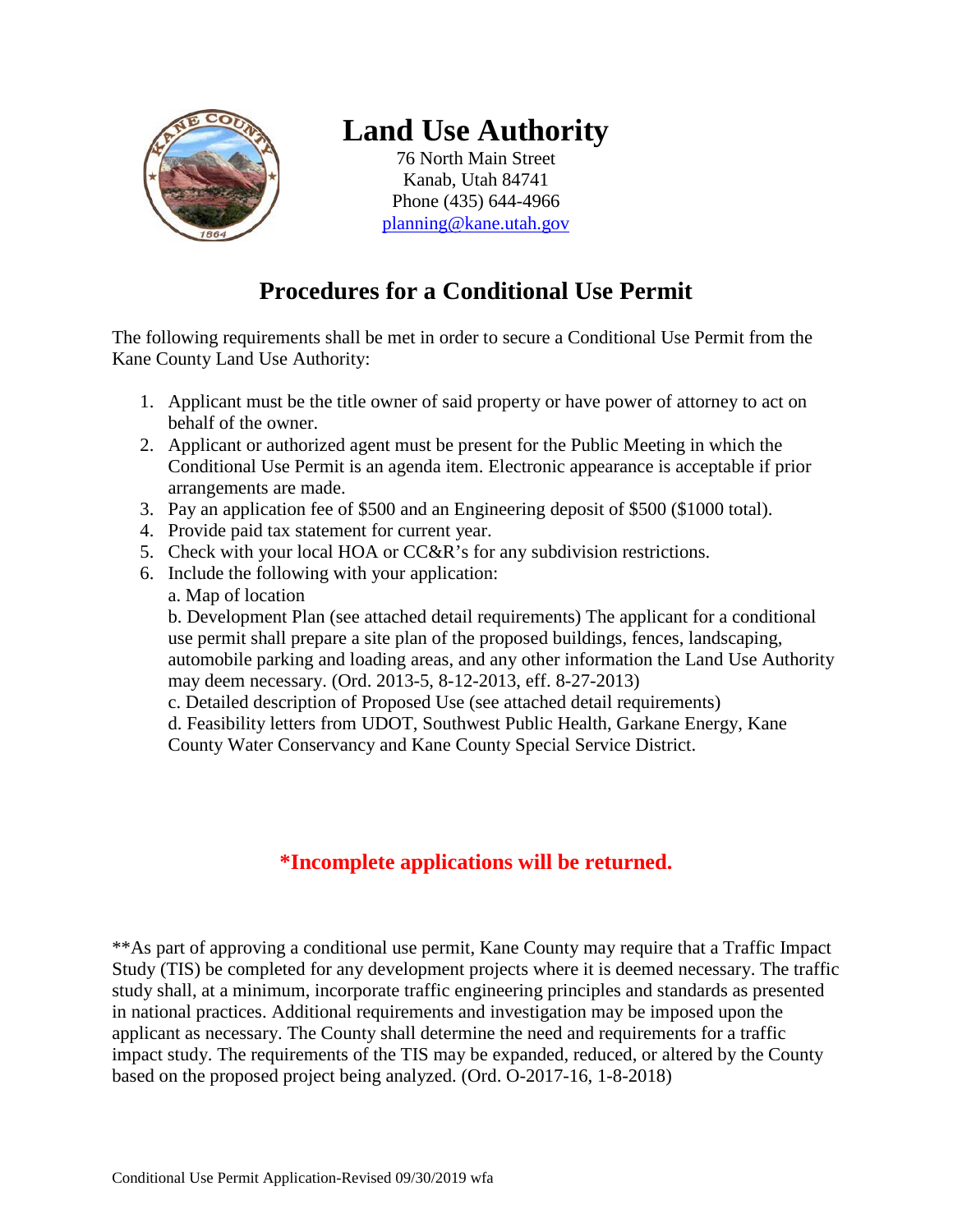

# **Land Use Authority**

76 North Main Street Kanab, Utah 84741 Phone (435) 644-4966 [planning@kane.utah.gov](mailto:planning@kane.utah.gov)

## **Procedures for a Conditional Use Permit**

The following requirements shall be met in order to secure a Conditional Use Permit from the Kane County Land Use Authority:

- 1. Applicant must be the title owner of said property or have power of attorney to act on behalf of the owner.
- 2. Applicant or authorized agent must be present for the Public Meeting in which the Conditional Use Permit is an agenda item. Electronic appearance is acceptable if prior arrangements are made.
- 3. Pay an application fee of \$500 and an Engineering deposit of \$500 (\$1000 total).
- 4. Provide paid tax statement for current year.
- 5. Check with your local HOA or CC&R's for any subdivision restrictions.
- 6. Include the following with your application: a. Map of location

b. Development Plan (see attached detail requirements) The applicant for a conditional use permit shall prepare a site plan of the proposed buildings, fences, landscaping, automobile parking and loading areas, and any other information the Land Use Authority may deem necessary. (Ord. 2013-5, 8-12-2013, eff. 8-27-2013)

c. Detailed description of Proposed Use (see attached detail requirements)

d. Feasibility letters from UDOT, Southwest Public Health, Garkane Energy, Kane County Water Conservancy and Kane County Special Service District.

### **\*Incomplete applications will be returned.**

\*\*As part of approving a conditional use permit, Kane County may require that a Traffic Impact Study (TIS) be completed for any development projects where it is deemed necessary. The traffic study shall, at a minimum, incorporate traffic engineering principles and standards as presented in national practices. Additional requirements and investigation may be imposed upon the applicant as necessary. The County shall determine the need and requirements for a traffic impact study. The requirements of the TIS may be expanded, reduced, or altered by the County based on the proposed project being analyzed. (Ord. O-2017-16, 1-8-2018)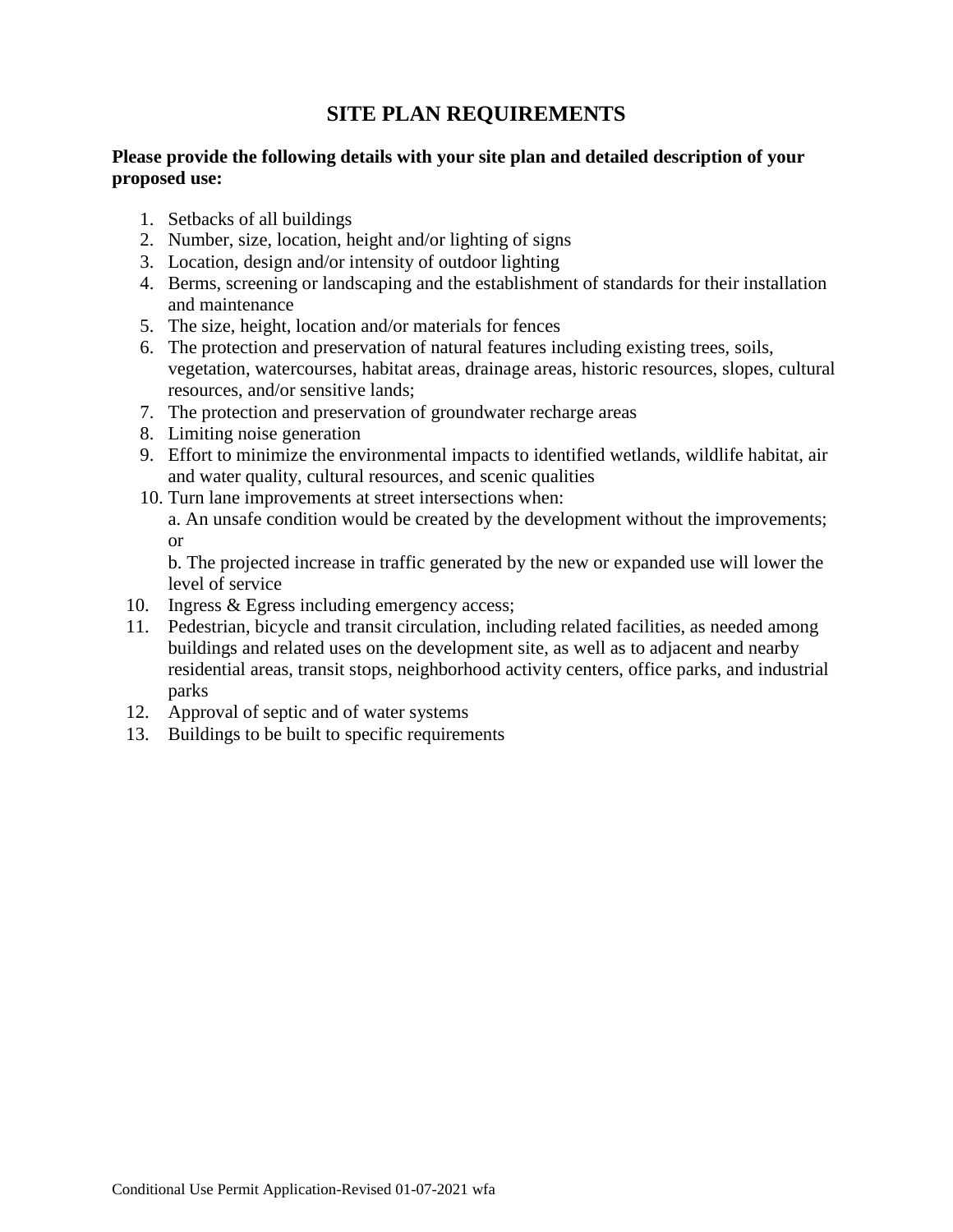### **SITE PLAN REQUIREMENTS**

### **Please provide the following details with your site plan and detailed description of your proposed use:**

- 1. Setbacks of all buildings
- 2. Number, size, location, height and/or lighting of signs
- 3. Location, design and/or intensity of outdoor lighting
- 4. Berms, screening or landscaping and the establishment of standards for their installation and maintenance
- 5. The size, height, location and/or materials for fences
- 6. The protection and preservation of natural features including existing trees, soils, vegetation, watercourses, habitat areas, drainage areas, historic resources, slopes, cultural resources, and/or sensitive lands;
- 7. The protection and preservation of groundwater recharge areas
- 8. Limiting noise generation
- 9. Effort to minimize the environmental impacts to identified wetlands, wildlife habitat, air and water quality, cultural resources, and scenic qualities
- 10. Turn lane improvements at street intersections when:

a. An unsafe condition would be created by the development without the improvements; or

b. The projected increase in traffic generated by the new or expanded use will lower the level of service

- 10. Ingress & Egress including emergency access;
- 11. Pedestrian, bicycle and transit circulation, including related facilities, as needed among buildings and related uses on the development site, as well as to adjacent and nearby residential areas, transit stops, neighborhood activity centers, office parks, and industrial parks
- 12. Approval of septic and of water systems
- 13. Buildings to be built to specific requirements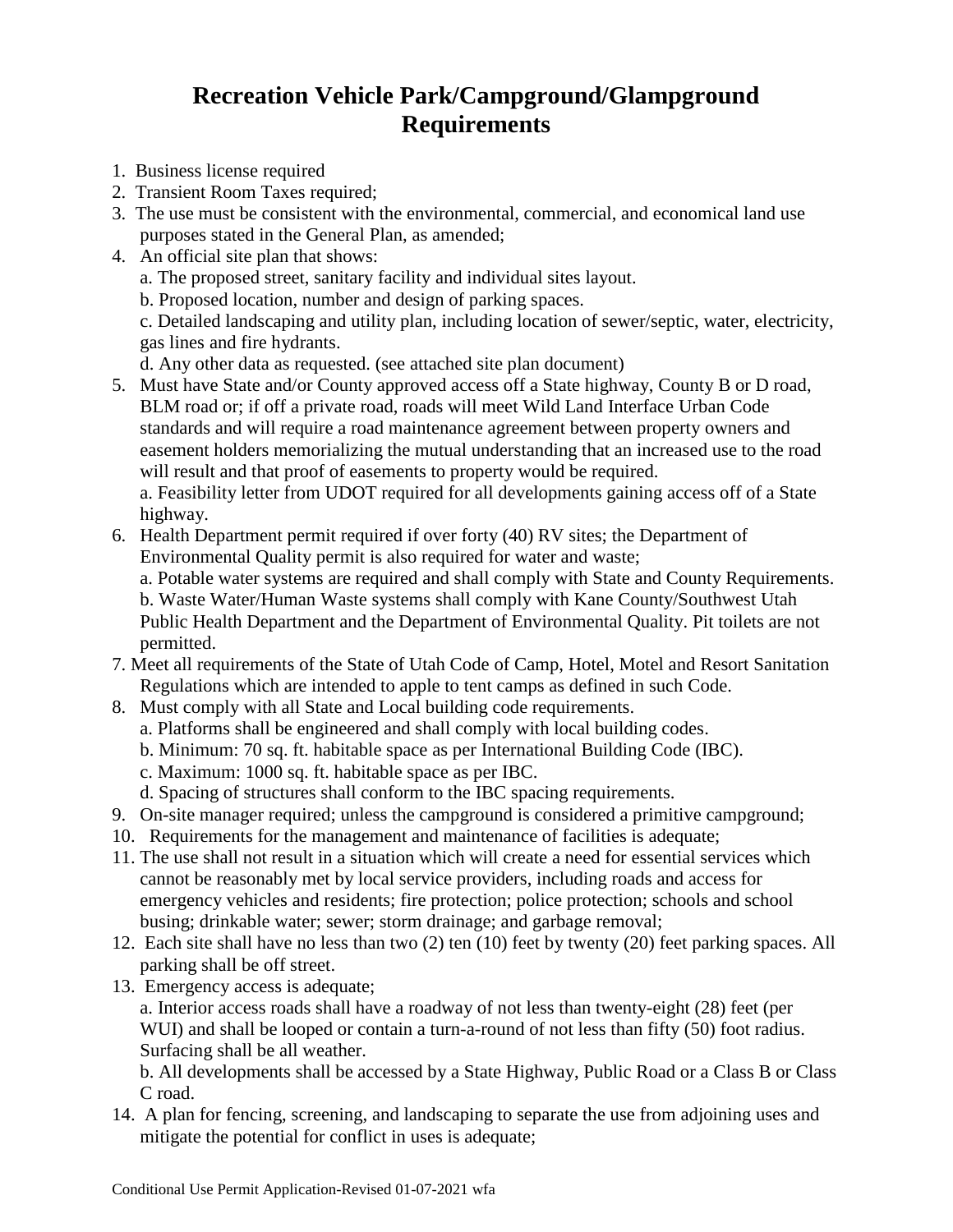## **Recreation Vehicle Park/Campground/Glampground Requirements**

- 1. Business license required
- 2. Transient Room Taxes required;
- 3. The use must be consistent with the environmental, commercial, and economical land use purposes stated in the General Plan, as amended;
- 4. An official site plan that shows:
	- a. The proposed street, sanitary facility and individual sites layout.
	- b. Proposed location, number and design of parking spaces.

c. Detailed landscaping and utility plan, including location of sewer/septic, water, electricity, gas lines and fire hydrants.

d. Any other data as requested. (see attached site plan document)

5. Must have State and/or County approved access off a State highway, County B or D road, BLM road or; if off a private road, roads will meet Wild Land Interface Urban Code standards and will require a road maintenance agreement between property owners and easement holders memorializing the mutual understanding that an increased use to the road will result and that proof of easements to property would be required.

a. Feasibility letter from UDOT required for all developments gaining access off of a State highway.

6. Health Department permit required if over forty (40) RV sites; the Department of Environmental Quality permit is also required for water and waste;

a. Potable water systems are required and shall comply with State and County Requirements. b. Waste Water/Human Waste systems shall comply with Kane County/Southwest Utah Public Health Department and the Department of Environmental Quality. Pit toilets are not permitted.

- 7. Meet all requirements of the State of Utah Code of Camp, Hotel, Motel and Resort Sanitation Regulations which are intended to apple to tent camps as defined in such Code.
- 8. Must comply with all State and Local building code requirements.
	- a. Platforms shall be engineered and shall comply with local building codes.
	- b. Minimum: 70 sq. ft. habitable space as per International Building Code (IBC).
	- c. Maximum: 1000 sq. ft. habitable space as per IBC.
	- d. Spacing of structures shall conform to the IBC spacing requirements.
- 9. On-site manager required; unless the campground is considered a primitive campground;
- 10. Requirements for the management and maintenance of facilities is adequate;
- 11. The use shall not result in a situation which will create a need for essential services which cannot be reasonably met by local service providers, including roads and access for emergency vehicles and residents; fire protection; police protection; schools and school busing; drinkable water; sewer; storm drainage; and garbage removal;
- 12. Each site shall have no less than two (2) ten (10) feet by twenty (20) feet parking spaces. All parking shall be off street.
- 13. Emergency access is adequate;

a. Interior access roads shall have a roadway of not less than twenty-eight (28) feet (per WUI) and shall be looped or contain a turn-a-round of not less than fifty (50) foot radius. Surfacing shall be all weather.

b. All developments shall be accessed by a State Highway, Public Road or a Class B or Class C road.

14. A plan for fencing, screening, and landscaping to separate the use from adjoining uses and mitigate the potential for conflict in uses is adequate;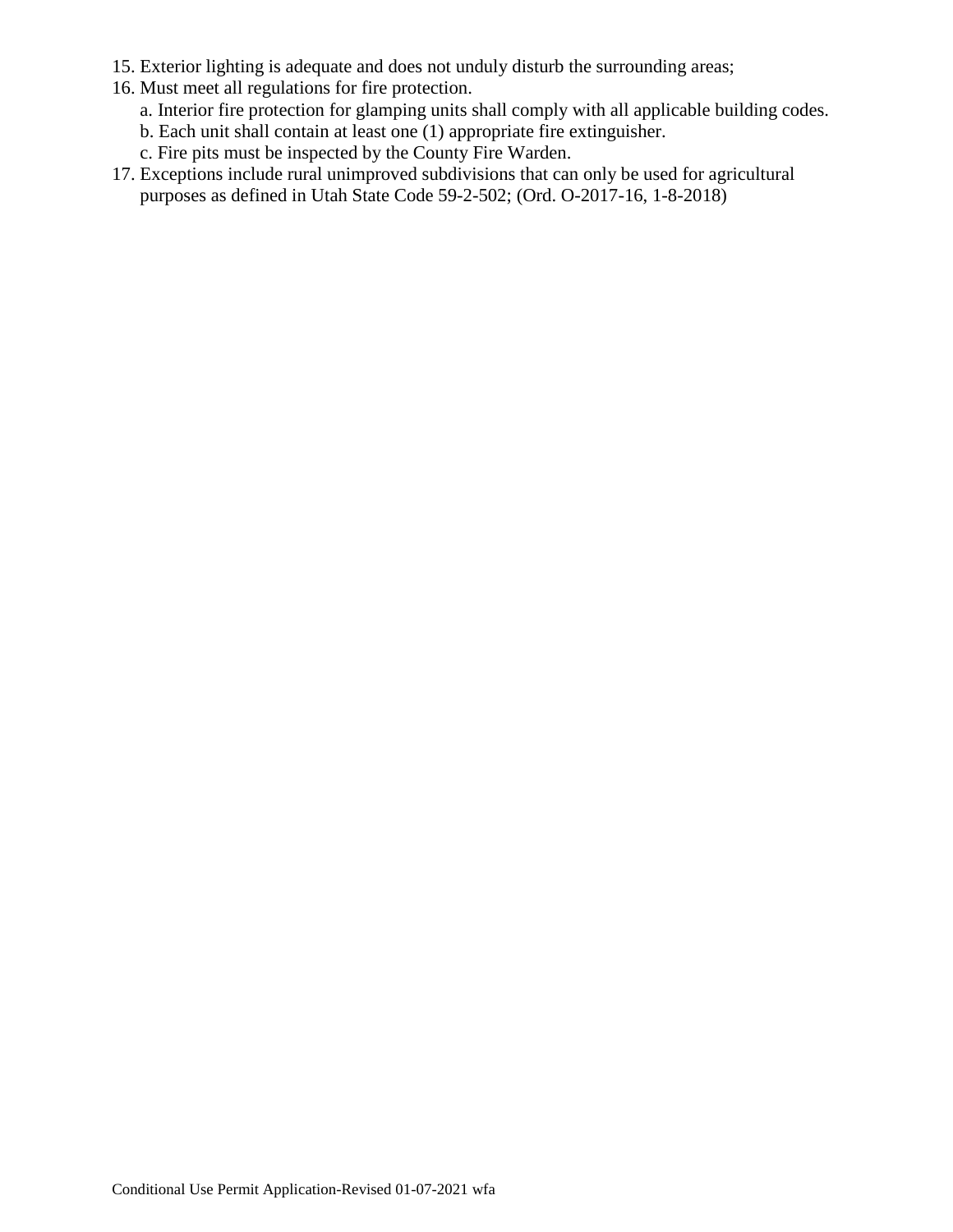- 15. Exterior lighting is adequate and does not unduly disturb the surrounding areas;
- 16. Must meet all regulations for fire protection.
	- a. Interior fire protection for glamping units shall comply with all applicable building codes.
	- b. Each unit shall contain at least one (1) appropriate fire extinguisher.
	- c. Fire pits must be inspected by the County Fire Warden.
- 17. Exceptions include rural unimproved subdivisions that can only be used for agricultural purposes as defined in Utah State Code 59-2-502; (Ord. O-2017-16, 1-8-2018)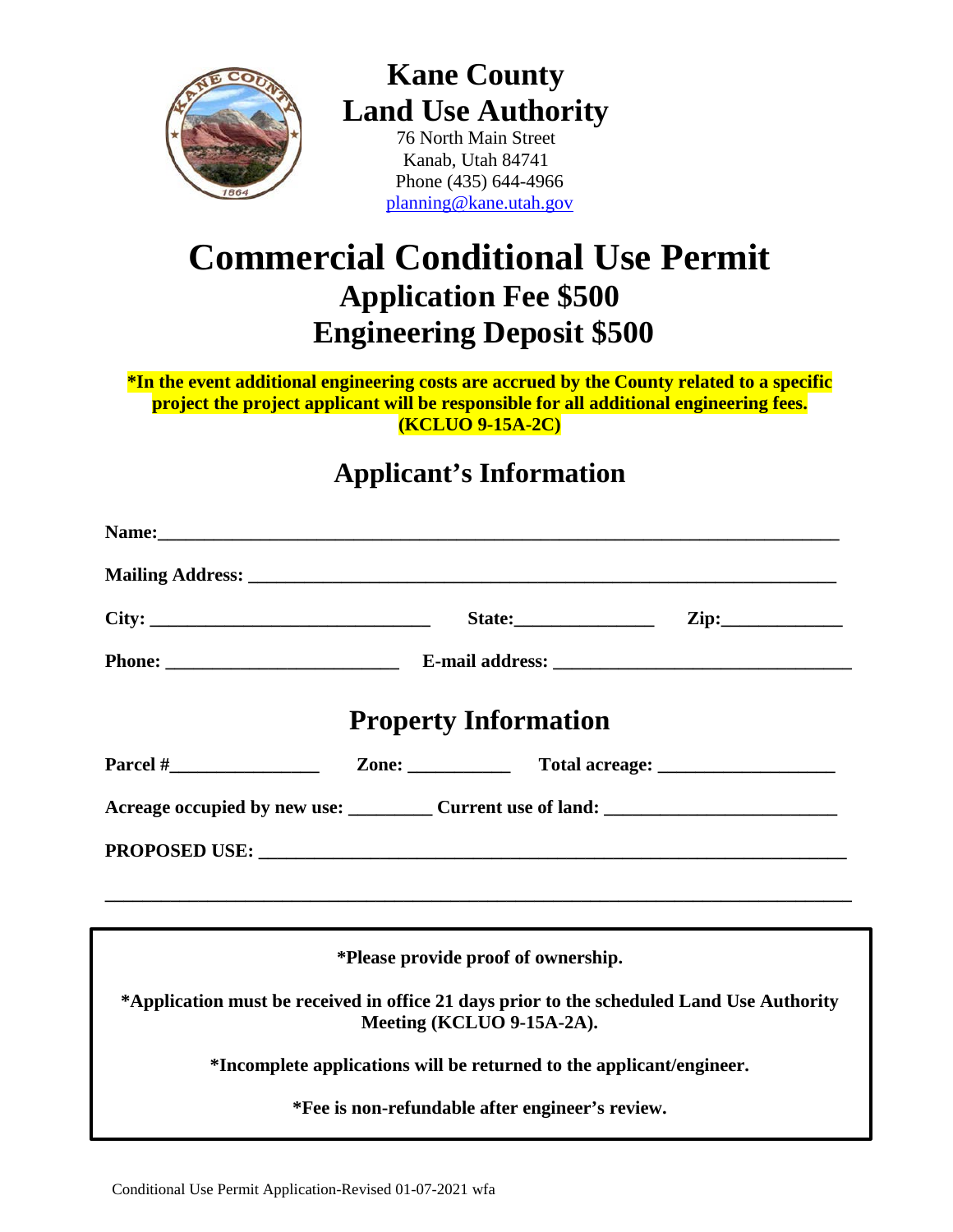

# **Kane County Land Use Authority**

76 North Main Street Kanab, Utah 84741 Phone (435) 644-4966 [planning@kane.utah.gov](mailto:planning@kane.utah.gov)

# **Commercial Conditional Use Permit Application Fee \$500 Engineering Deposit \$500**

**\*In the event additional engineering costs are accrued by the County related to a specific project the project applicant will be responsible for all additional engineering fees. (KCLUO 9-15A-2C)**

# **Applicant's Information**

|                             |                                                                      |  | State: $\qquad \qquad \text{Zip:} \qquad \qquad$                                          |  |  |  |  |
|-----------------------------|----------------------------------------------------------------------|--|-------------------------------------------------------------------------------------------|--|--|--|--|
|                             |                                                                      |  |                                                                                           |  |  |  |  |
| <b>Property Information</b> |                                                                      |  |                                                                                           |  |  |  |  |
|                             |                                                                      |  |                                                                                           |  |  |  |  |
|                             |                                                                      |  |                                                                                           |  |  |  |  |
|                             |                                                                      |  |                                                                                           |  |  |  |  |
|                             |                                                                      |  |                                                                                           |  |  |  |  |
|                             |                                                                      |  |                                                                                           |  |  |  |  |
|                             | *Please provide proof of ownership.                                  |  |                                                                                           |  |  |  |  |
|                             | Meeting (KCLUO 9-15A-2A).                                            |  | *Application must be received in office 21 days prior to the scheduled Land Use Authority |  |  |  |  |
|                             | *Incomplete applications will be returned to the applicant/engineer. |  |                                                                                           |  |  |  |  |
|                             | *Fee is non-refundable after engineer's review.                      |  |                                                                                           |  |  |  |  |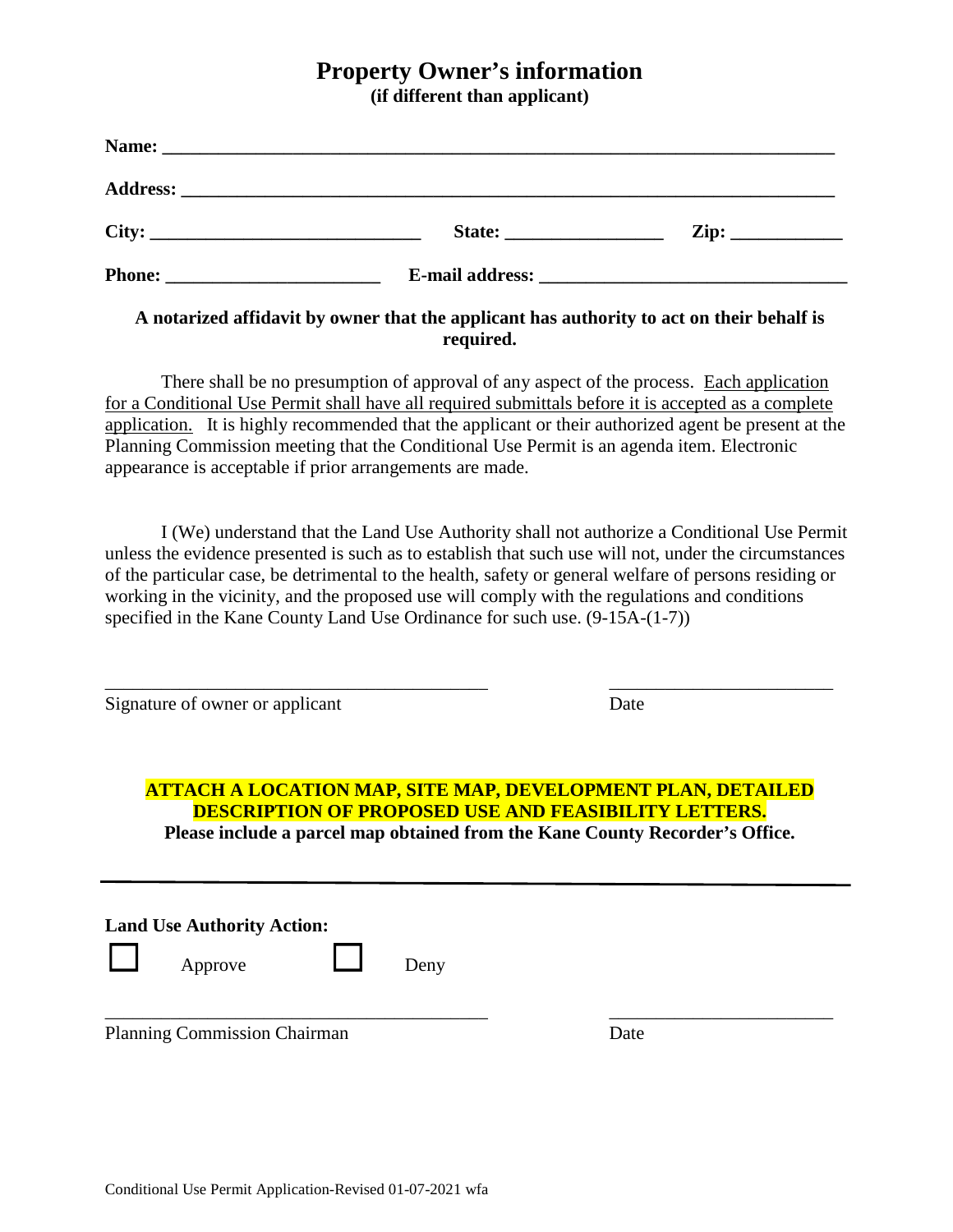### **Property Owner's information**

**(if different than applicant)**

| City: | $\mathbf{Zip:} \ \_$ |  |
|-------|----------------------|--|
|       |                      |  |
|       |                      |  |

### **A notarized affidavit by owner that the applicant has authority to act on their behalf is required.**

There shall be no presumption of approval of any aspect of the process. Each application for a Conditional Use Permit shall have all required submittals before it is accepted as a complete application. It is highly recommended that the applicant or their authorized agent be present at the Planning Commission meeting that the Conditional Use Permit is an agenda item. Electronic appearance is acceptable if prior arrangements are made.

I (We) understand that the Land Use Authority shall not authorize a Conditional Use Permit unless the evidence presented is such as to establish that such use will not, under the circumstances of the particular case, be detrimental to the health, safety or general welfare of persons residing or working in the vicinity, and the proposed use will comply with the regulations and conditions specified in the Kane County Land Use Ordinance for such use. (9-15A-(1-7))

\_\_\_\_\_\_\_\_\_\_\_\_\_\_\_\_\_\_\_\_\_\_\_\_\_\_\_\_\_\_\_\_\_\_\_\_\_\_\_\_\_ \_\_\_\_\_\_\_\_\_\_\_\_\_\_\_\_\_\_\_\_\_\_\_\_

Signature of owner or applicant Date

### **ATTACH A LOCATION MAP, SITE MAP, DEVELOPMENT PLAN, DETAILED DESCRIPTION OF PROPOSED USE AND FEASIBILITY LETTERS. Please include a parcel map obtained from the Kane County Recorder's Office.**

|        | <b>Land Use Authority Action:</b>   |      |      |  |
|--------|-------------------------------------|------|------|--|
| $\Box$ | Approve                             | Deny |      |  |
|        | <b>Planning Commission Chairman</b> |      | Date |  |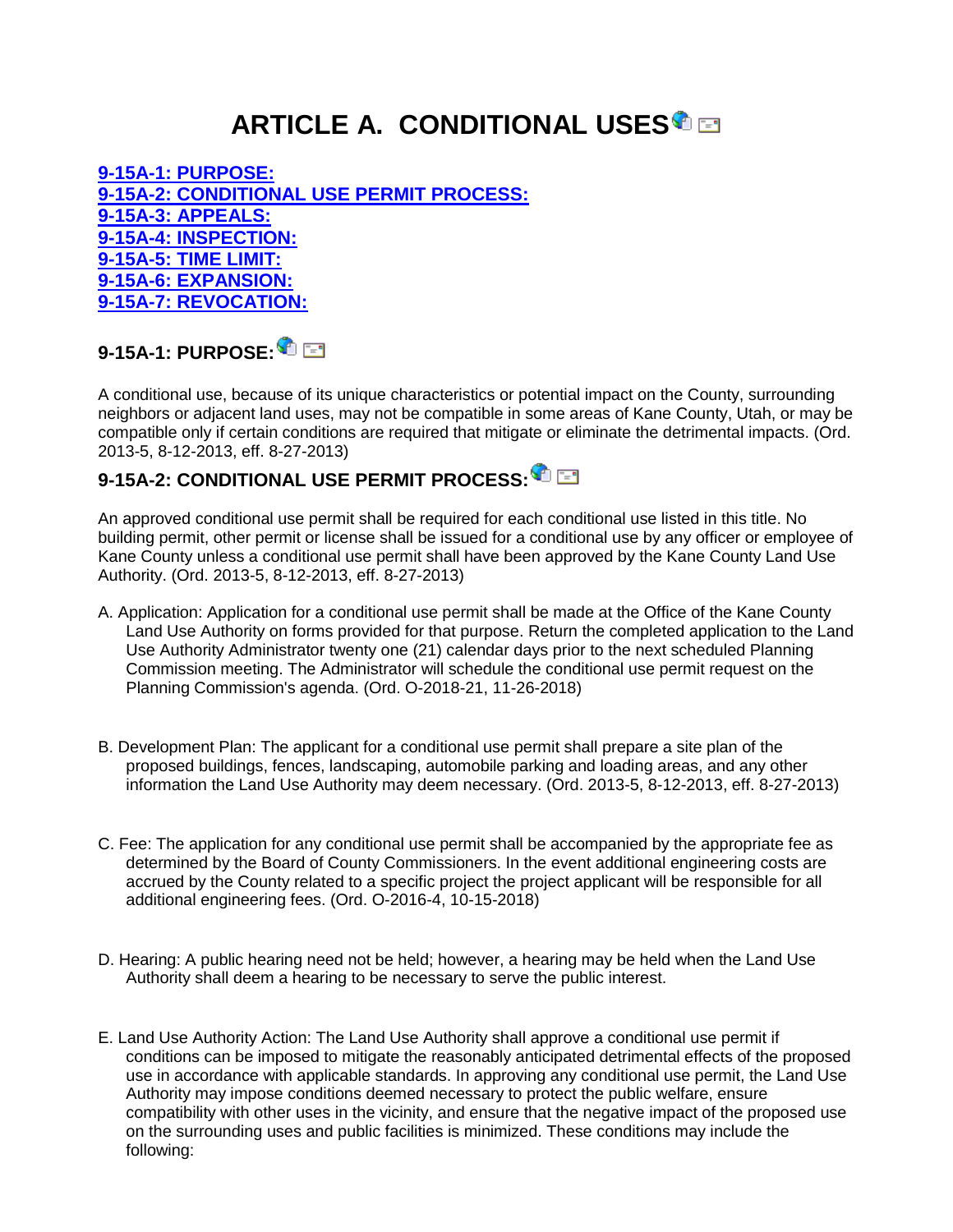# **ARTICLE A. CONDITIONAL USE[S](https://www.sterlingcodifiers.com/codebook/getBookData.php?id=&chapter_id=84030&keywords=#84030)**

**[9-15A-1: PURPOSE:](https://www.sterlingcodifiers.com/codebook/getBookData.php?id=&chapter_id=84030&keywords=#s1317835) [9-15A-2: CONDITIONAL USE PERMIT PROCESS:](https://www.sterlingcodifiers.com/codebook/getBookData.php?id=&chapter_id=84030&keywords=#s1317836) [9-15A-3: APPEALS:](https://www.sterlingcodifiers.com/codebook/getBookData.php?id=&chapter_id=84030&keywords=#s1317837) [9-15A-4: INSPECTION:](https://www.sterlingcodifiers.com/codebook/getBookData.php?id=&chapter_id=84030&keywords=#s1317838) [9-15A-5: TIME LIMIT:](https://www.sterlingcodifiers.com/codebook/getBookData.php?id=&chapter_id=84030&keywords=#s1317839) [9-15A-6: EXPANSION:](https://www.sterlingcodifiers.com/codebook/getBookData.php?id=&chapter_id=84030&keywords=#s1317840) [9-15A-7: REVOCATION:](https://www.sterlingcodifiers.com/codebook/getBookData.php?id=&chapter_id=84030&keywords=#s1317841)**

**9-15A-1: PURPOSE[:](https://www.sterlingcodifiers.com/codebook/getBookData.php?id=&chapter_id=84030&keywords=#1317835)**

A conditional use, because of its unique characteristics or potential impact on the County, surrounding neighbors or adjacent land uses, may not be compatible in some areas of Kane County, Utah, or may be compatible only if certain conditions are required that mitigate or eliminate the detrimental impacts. (Ord. 2013-5, 8-12-2013, eff. 8-27-2013)

# **9-15A-2: CONDITIONAL USE PERMIT PROCESS:**

An approved conditional use permit shall be required for each conditional use listed in this title. No building permit, other permit or license shall be issued for a conditional use by any officer or employee of Kane County unless a conditional use permit shall have been approved by the Kane County Land Use Authority. (Ord. 2013-5, 8-12-2013, eff. 8-27-2013)

- A. Application: Application for a conditional use permit shall be made at the Office of the Kane County Land Use Authority on forms provided for that purpose. Return the completed application to the Land Use Authority Administrator twenty one (21) calendar days prior to the next scheduled Planning Commission meeting. The Administrator will schedule the conditional use permit request on the Planning Commission's agenda. (Ord. O-2018-21, 11-26-2018)
- B. Development Plan: The applicant for a conditional use permit shall prepare a site plan of the proposed buildings, fences, landscaping, automobile parking and loading areas, and any other information the Land Use Authority may deem necessary. (Ord. 2013-5, 8-12-2013, eff. 8-27-2013)
- C. Fee: The application for any conditional use permit shall be accompanied by the appropriate fee as determined by the Board of County Commissioners. In the event additional engineering costs are accrued by the County related to a specific project the project applicant will be responsible for all additional engineering fees. (Ord. O-2016-4, 10-15-2018)
- D. Hearing: A public hearing need not be held; however, a hearing may be held when the Land Use Authority shall deem a hearing to be necessary to serve the public interest.
- E. Land Use Authority Action: The Land Use Authority shall approve a conditional use permit if conditions can be imposed to mitigate the reasonably anticipated detrimental effects of the proposed use in accordance with applicable standards. In approving any conditional use permit, the Land Use Authority may impose conditions deemed necessary to protect the public welfare, ensure compatibility with other uses in the vicinity, and ensure that the negative impact of the proposed use on the surrounding uses and public facilities is minimized. These conditions may include the following: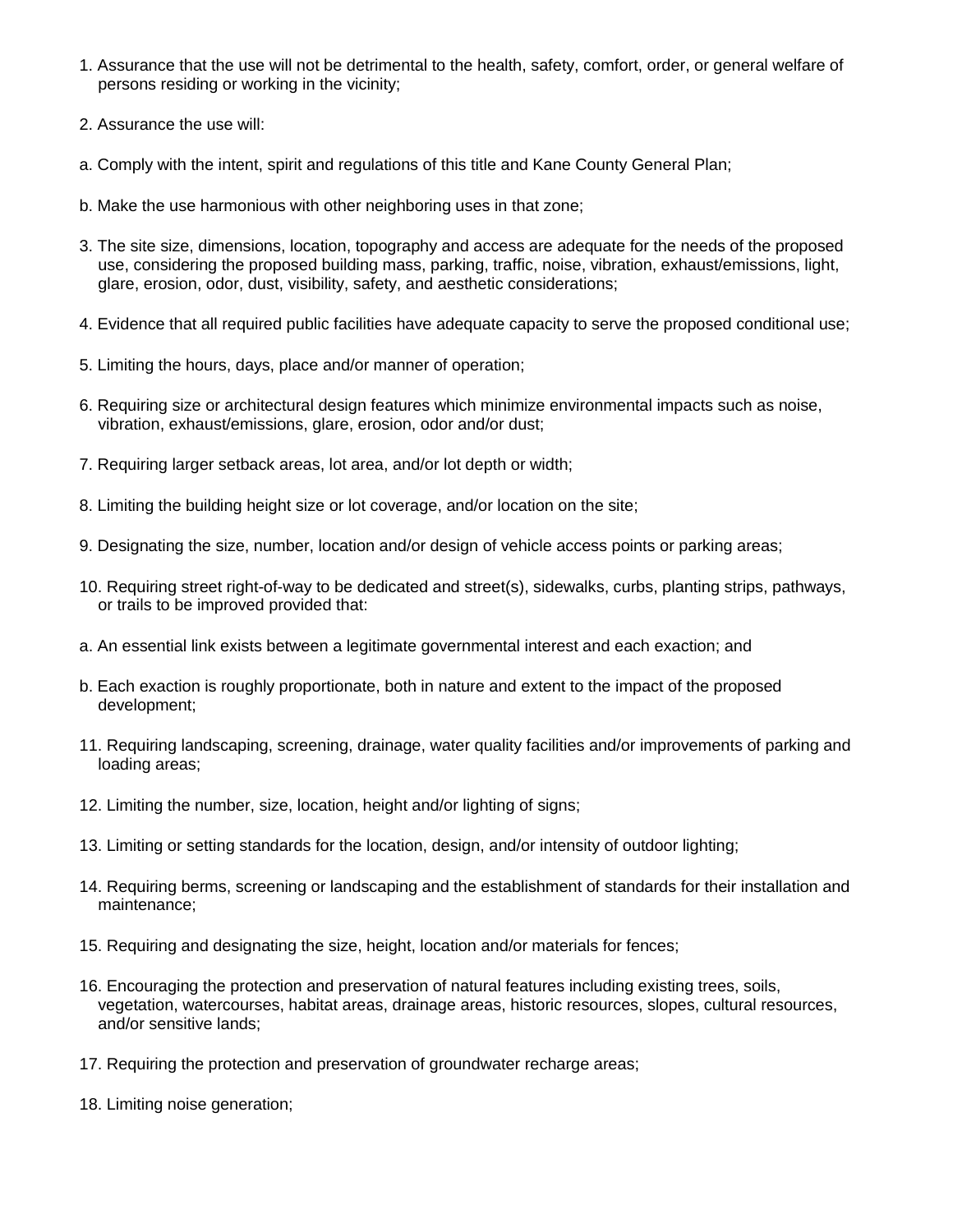- 1. Assurance that the use will not be detrimental to the health, safety, comfort, order, or general welfare of persons residing or working in the vicinity;
- 2. Assurance the use will:
- a. Comply with the intent, spirit and regulations of this title and Kane County General Plan;
- b. Make the use harmonious with other neighboring uses in that zone;
- 3. The site size, dimensions, location, topography and access are adequate for the needs of the proposed use, considering the proposed building mass, parking, traffic, noise, vibration, exhaust/emissions, light, glare, erosion, odor, dust, visibility, safety, and aesthetic considerations;
- 4. Evidence that all required public facilities have adequate capacity to serve the proposed conditional use;
- 5. Limiting the hours, days, place and/or manner of operation;
- 6. Requiring size or architectural design features which minimize environmental impacts such as noise, vibration, exhaust/emissions, glare, erosion, odor and/or dust;
- 7. Requiring larger setback areas, lot area, and/or lot depth or width;
- 8. Limiting the building height size or lot coverage, and/or location on the site;
- 9. Designating the size, number, location and/or design of vehicle access points or parking areas;
- 10. Requiring street right-of-way to be dedicated and street(s), sidewalks, curbs, planting strips, pathways, or trails to be improved provided that:
- a. An essential link exists between a legitimate governmental interest and each exaction; and
- b. Each exaction is roughly proportionate, both in nature and extent to the impact of the proposed development;
- 11. Requiring landscaping, screening, drainage, water quality facilities and/or improvements of parking and loading areas;
- 12. Limiting the number, size, location, height and/or lighting of signs;
- 13. Limiting or setting standards for the location, design, and/or intensity of outdoor lighting;
- 14. Requiring berms, screening or landscaping and the establishment of standards for their installation and maintenance;
- 15. Requiring and designating the size, height, location and/or materials for fences;
- 16. Encouraging the protection and preservation of natural features including existing trees, soils, vegetation, watercourses, habitat areas, drainage areas, historic resources, slopes, cultural resources, and/or sensitive lands;
- 17. Requiring the protection and preservation of groundwater recharge areas;
- 18. Limiting noise generation;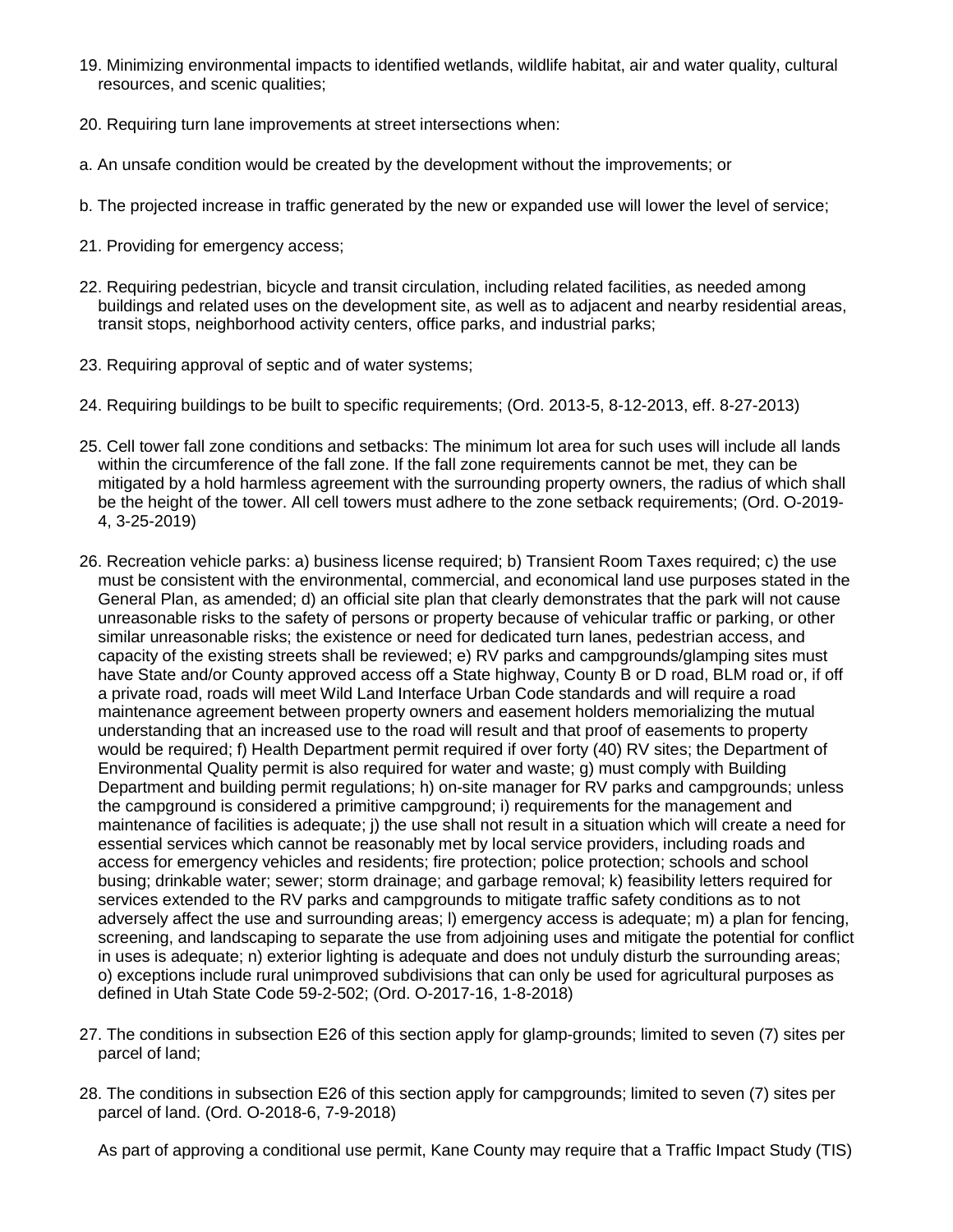- 19. Minimizing environmental impacts to identified wetlands, wildlife habitat, air and water quality, cultural resources, and scenic qualities;
- 20. Requiring turn lane improvements at street intersections when:
- a. An unsafe condition would be created by the development without the improvements; or
- b. The projected increase in traffic generated by the new or expanded use will lower the level of service;
- 21. Providing for emergency access;
- 22. Requiring pedestrian, bicycle and transit circulation, including related facilities, as needed among buildings and related uses on the development site, as well as to adjacent and nearby residential areas, transit stops, neighborhood activity centers, office parks, and industrial parks;
- 23. Requiring approval of septic and of water systems;
- 24. Requiring buildings to be built to specific requirements; (Ord. 2013-5, 8-12-2013, eff. 8-27-2013)
- 25. Cell tower fall zone conditions and setbacks: The minimum lot area for such uses will include all lands within the circumference of the fall zone. If the fall zone requirements cannot be met, they can be mitigated by a hold harmless agreement with the surrounding property owners, the radius of which shall be the height of the tower. All cell towers must adhere to the zone setback requirements; (Ord. O-2019- 4, 3-25-2019)
- 26. Recreation vehicle parks: a) business license required; b) Transient Room Taxes required; c) the use must be consistent with the environmental, commercial, and economical land use purposes stated in the General Plan, as amended; d) an official site plan that clearly demonstrates that the park will not cause unreasonable risks to the safety of persons or property because of vehicular traffic or parking, or other similar unreasonable risks; the existence or need for dedicated turn lanes, pedestrian access, and capacity of the existing streets shall be reviewed; e) RV parks and campgrounds/glamping sites must have State and/or County approved access off a State highway, County B or D road, BLM road or, if off a private road, roads will meet Wild Land Interface Urban Code standards and will require a road maintenance agreement between property owners and easement holders memorializing the mutual understanding that an increased use to the road will result and that proof of easements to property would be required; f) Health Department permit required if over forty (40) RV sites; the Department of Environmental Quality permit is also required for water and waste; g) must comply with Building Department and building permit regulations; h) on-site manager for RV parks and campgrounds; unless the campground is considered a primitive campground; i) requirements for the management and maintenance of facilities is adequate; j) the use shall not result in a situation which will create a need for essential services which cannot be reasonably met by local service providers, including roads and access for emergency vehicles and residents; fire protection; police protection; schools and school busing; drinkable water; sewer; storm drainage; and garbage removal; k) feasibility letters required for services extended to the RV parks and campgrounds to mitigate traffic safety conditions as to not adversely affect the use and surrounding areas; l) emergency access is adequate; m) a plan for fencing, screening, and landscaping to separate the use from adjoining uses and mitigate the potential for conflict in uses is adequate; n) exterior lighting is adequate and does not unduly disturb the surrounding areas; o) exceptions include rural unimproved subdivisions that can only be used for agricultural purposes as defined in Utah State Code 59-2-502; (Ord. O-2017-16, 1-8-2018)
- 27. The conditions in subsection E26 of this section apply for glamp-grounds; limited to seven (7) sites per parcel of land;
- 28. The conditions in subsection E26 of this section apply for campgrounds; limited to seven (7) sites per parcel of land. (Ord. O-2018-6, 7-9-2018)

As part of approving a conditional use permit, Kane County may require that a Traffic Impact Study (TIS)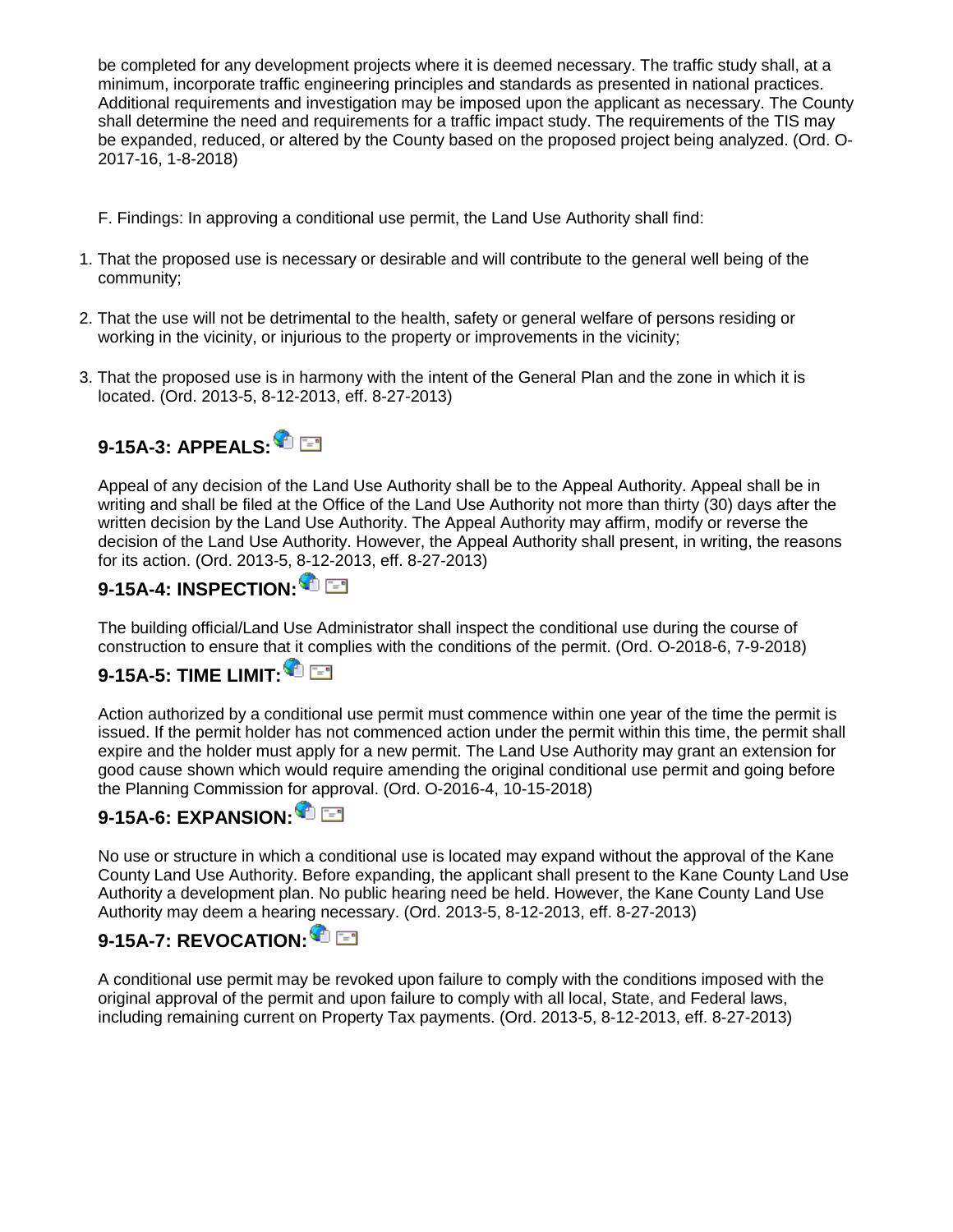be completed for any development projects where it is deemed necessary. The traffic study shall, at a minimum, incorporate traffic engineering principles and standards as presented in national practices. Additional requirements and investigation may be imposed upon the applicant as necessary. The County shall determine the need and requirements for a traffic impact study. The requirements of the TIS may be expanded, reduced, or altered by the County based on the proposed project being analyzed. (Ord. O-2017-16, 1-8-2018)

- F. Findings: In approving a conditional use permit, the Land Use Authority shall find:
- 1. That the proposed use is necessary or desirable and will contribute to the general well being of the community;
- 2. That the use will not be detrimental to the health, safety or general welfare of persons residing or working in the vicinity, or injurious to the property or improvements in the vicinity;
- 3. That the proposed use is in harmony with the intent of the General Plan and the zone in which it is located. (Ord. 2013-5, 8-12-2013, eff. 8-27-2013)

# **9-15A-3: APPEALS[:](https://www.sterlingcodifiers.com/codebook/getBookData.php?id=&chapter_id=84030&keywords=#1317837)**

Appeal of any decision of the Land Use Authority shall be to the Appeal Authority. Appeal shall be in writing and shall be filed at the Office of the Land Use Authority not more than thirty (30) days after the written decision by the Land Use Authority. The Appeal Authority may affirm, modify or reverse the decision of the Land Use Authority. However, the Appeal Authority shall present, in writing, the reasons for its action. (Ord. 2013-5, [8-12](https://www.sterlingcodifiers.com/codebook/getBookData.php?id=&chapter_id=84030&keywords=#1317838)-2013, eff. 8-27-2013)

# **9-15A-4: INSPECTION:**

The building official/Land Use Administrator shall inspect the conditional use during the course of construction to ensure that it complies with the conditions of the permit. (Ord. O-2018-6, 7-9-2018)

### **9-15A-5: TIME LIMIT:**

Action authorized by a conditional use permit must commence within one year of the time the permit is issued. If the permit holder has not commenced action under the permit within this time, the permit shall expire and the holder must apply for a new permit. The Land Use Authority may grant an extension for good cause shown which would require amending the original conditional use permit and going before the Planning Commission f[or a](https://www.sterlingcodifiers.com/codebook/getBookData.php?id=&chapter_id=84030&keywords=#1317840)pproval. (Ord. O-2016-4, 10-15-2018)

### **9-15A-6: EXPANSION:**

No use or structure in which a conditional use is located may expand without the approval of the Kane County Land Use Authority. Before expanding, the applicant shall present to the Kane County Land Use Authority a development plan. No public hearing need be held. However, the Kane County Land Use Authority may deem a hearing necessary. (Ord. 2013-5, 8-12-2013, eff. 8-27-2013)

### **9-15A-7: REVOCATION:**

A conditional use permit may be revoked upon failure to comply with the conditions imposed with the original approval of the permit and upon failure to comply with all local, State, and Federal laws, including remaining current on Property Tax payments. (Ord. 2013-5, 8-12-2013, eff. 8-27-2013)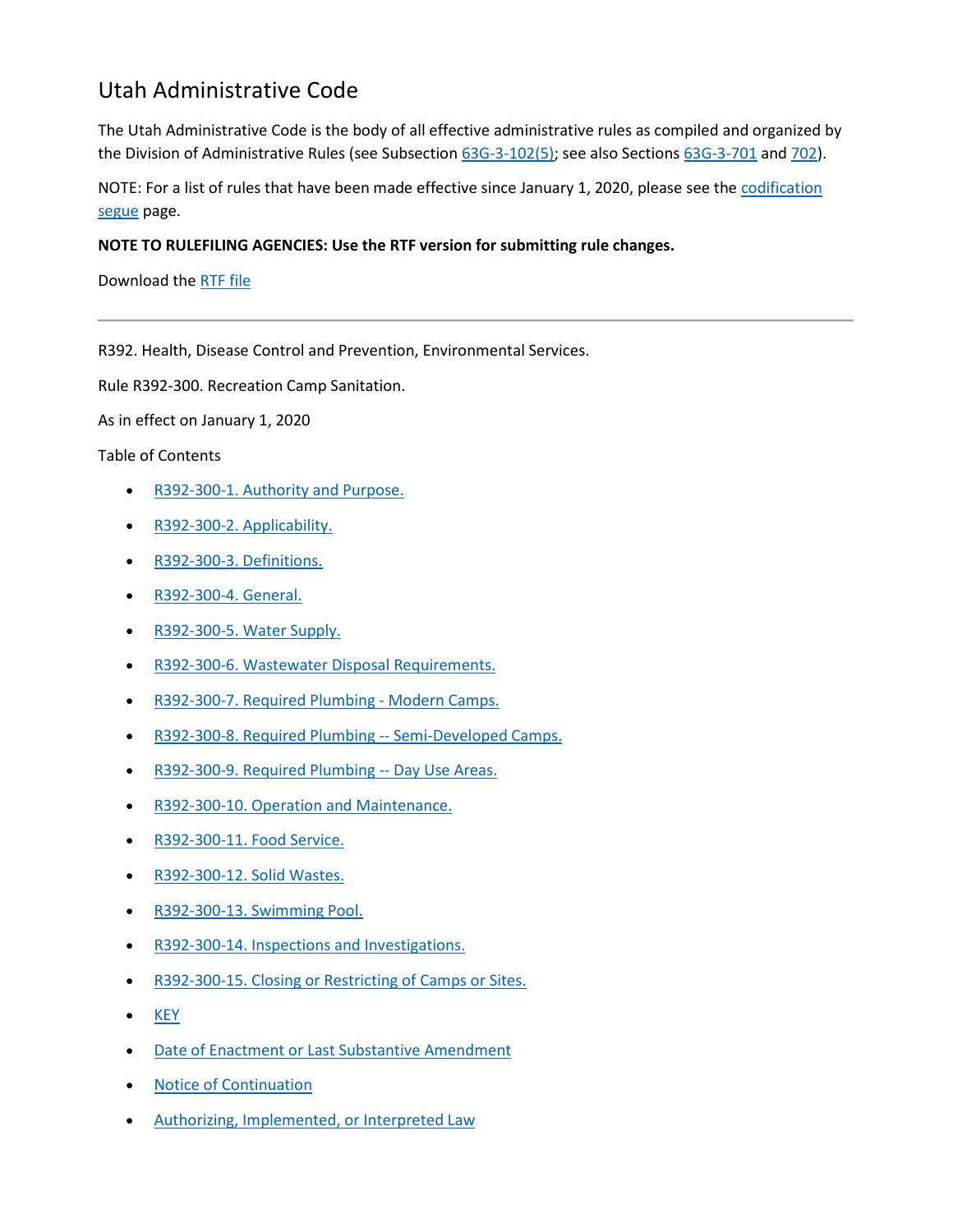### Utah Administrative Code

The Utah Administrative Code is the body of all effective administrative rules as compiled and organized by the Division of Administrative Rules (see Subsection [63G-3-102\(5\);](http://le.utah.gov/xcode/Title63G/Chapter3/63G-3-S102.html) see also Sections [63G-3-701](http://le.utah.gov/xcode/Title63G/Chapter3/63G-3-S701.html) and [702\)](http://le.utah.gov/xcode/Title63G/Chapter3/63G-3-S702.html).

NOTE: For a list of rules that have been made effective since January 1, 2020, please see the codification [segue](https://rules.utah.gov/publicat/codificationsegue.htm) page.

### **NOTE TO RULEFILING AGENCIES: Use the RTF version for submitting rule changes.**

Download the [RTF file](https://rules.utah.gov/publicat/code_rtf/r392-300.rtf)

R392. Health, Disease Control and Prevention, Environmental Services.

Rule R392-300. Recreation Camp Sanitation.

As in effect on January 1, 2020

Table of Contents

- [R392-300-1. Authority and Purpose.](https://rules.utah.gov/publicat/code/r392/r392-300.htm#T1)
- [R392-300-2. Applicability.](https://rules.utah.gov/publicat/code/r392/r392-300.htm#T2)
- [R392-300-3. Definitions.](https://rules.utah.gov/publicat/code/r392/r392-300.htm#T3)
- [R392-300-4. General.](https://rules.utah.gov/publicat/code/r392/r392-300.htm#T4)
- [R392-300-5. Water Supply.](https://rules.utah.gov/publicat/code/r392/r392-300.htm#T5)
- [R392-300-6. Wastewater Disposal Requirements.](https://rules.utah.gov/publicat/code/r392/r392-300.htm#T6)
- [R392-300-7. Required Plumbing -](https://rules.utah.gov/publicat/code/r392/r392-300.htm#T7) Modern Camps.
- [R392-300-8. Required Plumbing --](https://rules.utah.gov/publicat/code/r392/r392-300.htm#T8) Semi-Developed Camps.
- [R392-300-9. Required Plumbing --](https://rules.utah.gov/publicat/code/r392/r392-300.htm#T9) Day Use Areas.
- [R392-300-10. Operation and Maintenance.](https://rules.utah.gov/publicat/code/r392/r392-300.htm#T10)
- [R392-300-11. Food Service.](https://rules.utah.gov/publicat/code/r392/r392-300.htm#T11)
- [R392-300-12. Solid Wastes.](https://rules.utah.gov/publicat/code/r392/r392-300.htm#T12)
- [R392-300-13. Swimming Pool.](https://rules.utah.gov/publicat/code/r392/r392-300.htm#T13)
- [R392-300-14. Inspections and Investigations.](https://rules.utah.gov/publicat/code/r392/r392-300.htm#T14)
- [R392-300-15. Closing or Restricting of Camps or Sites.](https://rules.utah.gov/publicat/code/r392/r392-300.htm#T15)
- $\bullet$  [KEY](https://rules.utah.gov/publicat/code/r392/r392-300.htm#T16)
- [Date of Enactment or Last Substantive Amendment](https://rules.utah.gov/publicat/code/r392/r392-300.htm#T17)
- [Notice of Continuation](https://rules.utah.gov/publicat/code/r392/r392-300.htm#T18)
- [Authorizing, Implemented, or Interpreted Law](https://rules.utah.gov/publicat/code/r392/r392-300.htm#T19)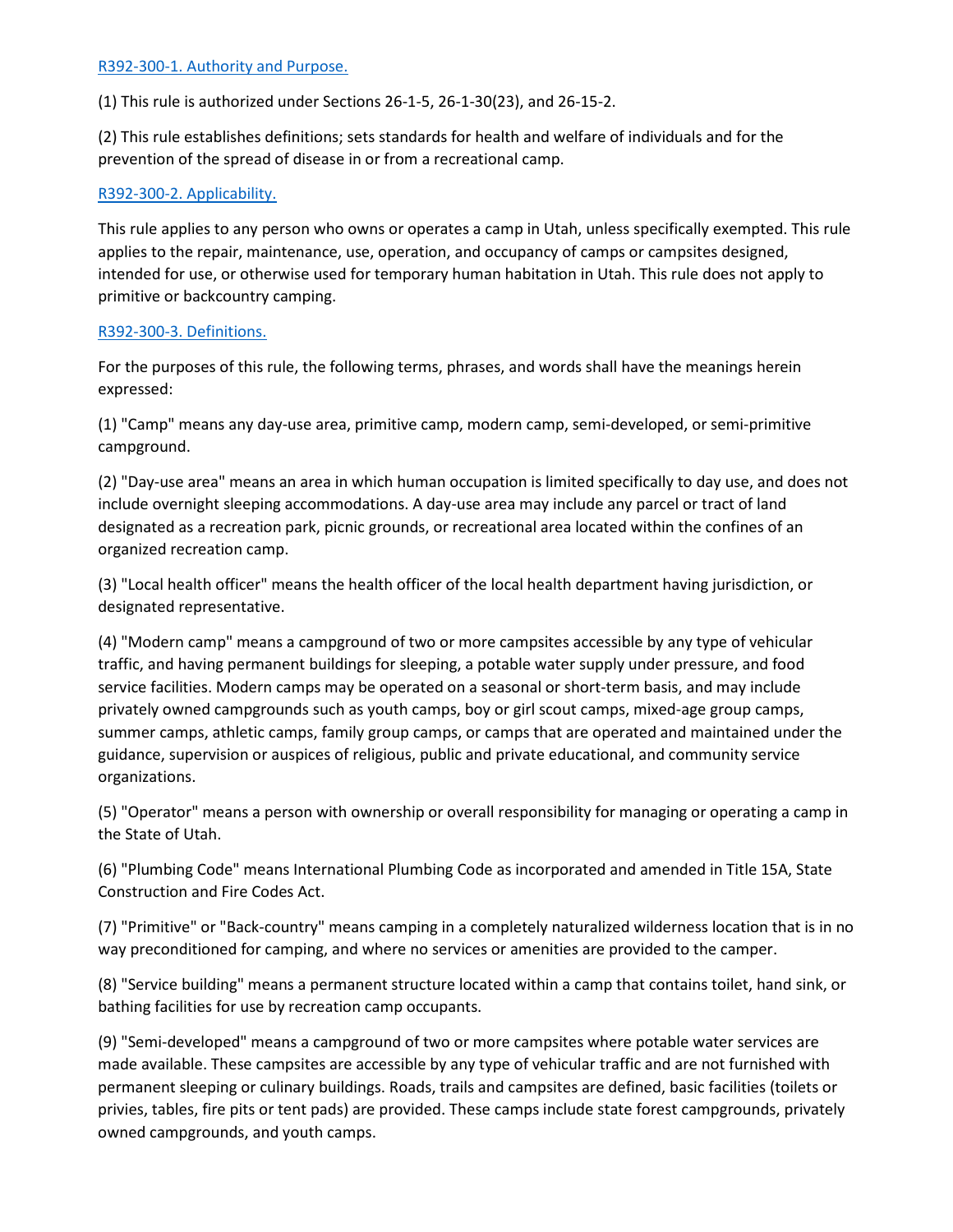#### [R392-300-1. Authority and Purpose.](https://rules.utah.gov/publicat/code/r392/r392-300.htm#E1)

(1) This rule is authorized under Sections 26-1-5, 26-1-30(23), and 26-15-2.

(2) This rule establishes definitions; sets standards for health and welfare of individuals and for the prevention of the spread of disease in or from a recreational camp.

#### [R392-300-2. Applicability.](https://rules.utah.gov/publicat/code/r392/r392-300.htm#E2)

This rule applies to any person who owns or operates a camp in Utah, unless specifically exempted. This rule applies to the repair, maintenance, use, operation, and occupancy of camps or campsites designed, intended for use, or otherwise used for temporary human habitation in Utah. This rule does not apply to primitive or backcountry camping.

#### [R392-300-3. Definitions.](https://rules.utah.gov/publicat/code/r392/r392-300.htm#E3)

For the purposes of this rule, the following terms, phrases, and words shall have the meanings herein expressed:

(1) "Camp" means any day-use area, primitive camp, modern camp, semi-developed, or semi-primitive campground.

(2) "Day-use area" means an area in which human occupation is limited specifically to day use, and does not include overnight sleeping accommodations. A day-use area may include any parcel or tract of land designated as a recreation park, picnic grounds, or recreational area located within the confines of an organized recreation camp.

(3) "Local health officer" means the health officer of the local health department having jurisdiction, or designated representative.

(4) "Modern camp" means a campground of two or more campsites accessible by any type of vehicular traffic, and having permanent buildings for sleeping, a potable water supply under pressure, and food service facilities. Modern camps may be operated on a seasonal or short-term basis, and may include privately owned campgrounds such as youth camps, boy or girl scout camps, mixed-age group camps, summer camps, athletic camps, family group camps, or camps that are operated and maintained under the guidance, supervision or auspices of religious, public and private educational, and community service organizations.

(5) "Operator" means a person with ownership or overall responsibility for managing or operating a camp in the State of Utah.

(6) "Plumbing Code" means International Plumbing Code as incorporated and amended in Title 15A, State Construction and Fire Codes Act.

(7) "Primitive" or "Back-country" means camping in a completely naturalized wilderness location that is in no way preconditioned for camping, and where no services or amenities are provided to the camper.

(8) "Service building" means a permanent structure located within a camp that contains toilet, hand sink, or bathing facilities for use by recreation camp occupants.

(9) "Semi-developed" means a campground of two or more campsites where potable water services are made available. These campsites are accessible by any type of vehicular traffic and are not furnished with permanent sleeping or culinary buildings. Roads, trails and campsites are defined, basic facilities (toilets or privies, tables, fire pits or tent pads) are provided. These camps include state forest campgrounds, privately owned campgrounds, and youth camps.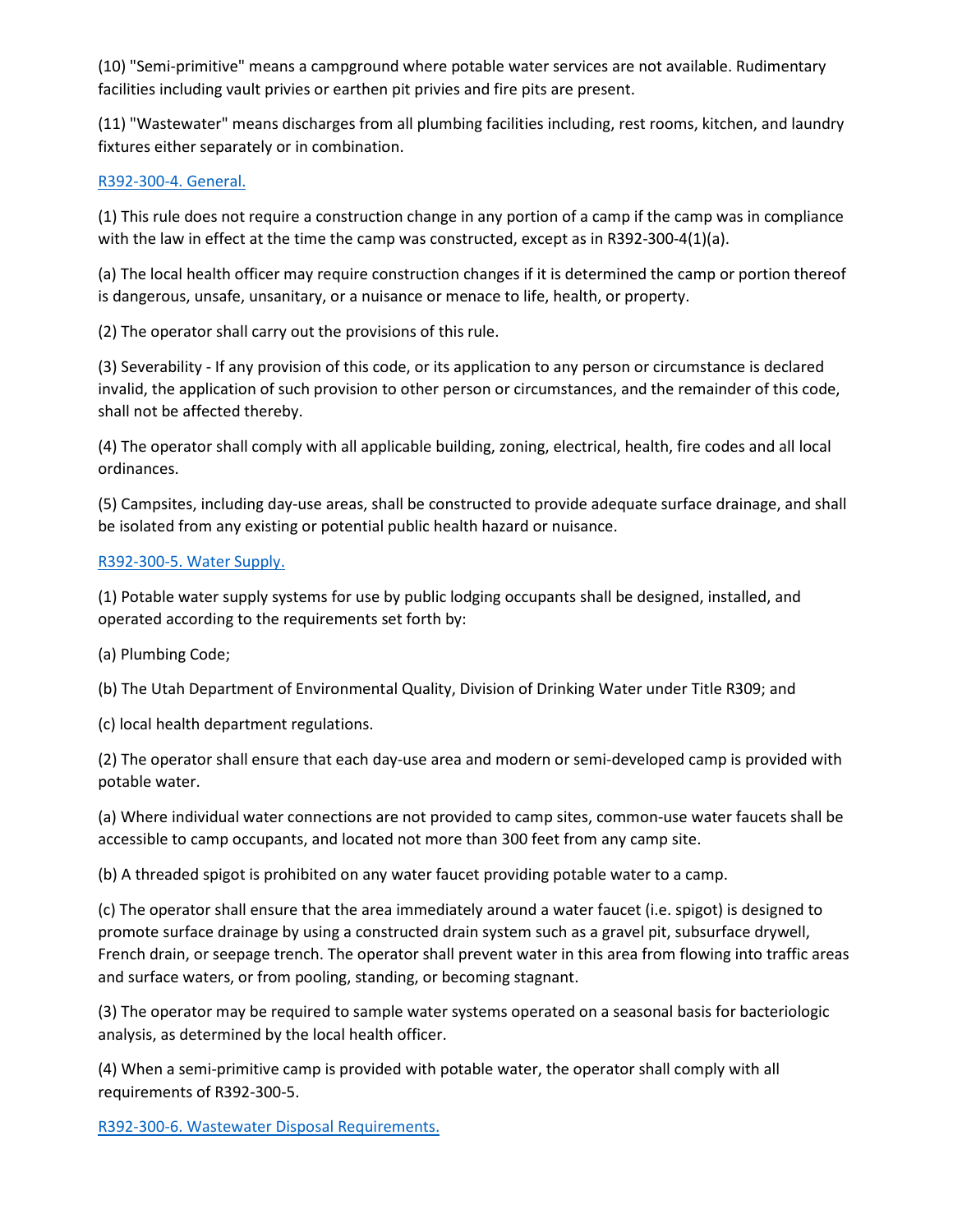(10) "Semi-primitive" means a campground where potable water services are not available. Rudimentary facilities including vault privies or earthen pit privies and fire pits are present.

(11) "Wastewater" means discharges from all plumbing facilities including, rest rooms, kitchen, and laundry fixtures either separately or in combination.

### [R392-300-4. General.](https://rules.utah.gov/publicat/code/r392/r392-300.htm#E4)

(1) This rule does not require a construction change in any portion of a camp if the camp was in compliance with the law in effect at the time the camp was constructed, except as in R392-300-4(1)(a).

(a) The local health officer may require construction changes if it is determined the camp or portion thereof is dangerous, unsafe, unsanitary, or a nuisance or menace to life, health, or property.

(2) The operator shall carry out the provisions of this rule.

(3) Severability - If any provision of this code, or its application to any person or circumstance is declared invalid, the application of such provision to other person or circumstances, and the remainder of this code, shall not be affected thereby.

(4) The operator shall comply with all applicable building, zoning, electrical, health, fire codes and all local ordinances.

(5) Campsites, including day-use areas, shall be constructed to provide adequate surface drainage, and shall be isolated from any existing or potential public health hazard or nuisance.

### [R392-300-5. Water Supply.](https://rules.utah.gov/publicat/code/r392/r392-300.htm#E5)

(1) Potable water supply systems for use by public lodging occupants shall be designed, installed, and operated according to the requirements set forth by:

(a) Plumbing Code;

(b) The Utah Department of Environmental Quality, Division of Drinking Water under Title R309; and

(c) local health department regulations.

(2) The operator shall ensure that each day-use area and modern or semi-developed camp is provided with potable water.

(a) Where individual water connections are not provided to camp sites, common-use water faucets shall be accessible to camp occupants, and located not more than 300 feet from any camp site.

(b) A threaded spigot is prohibited on any water faucet providing potable water to a camp.

(c) The operator shall ensure that the area immediately around a water faucet (i.e. spigot) is designed to promote surface drainage by using a constructed drain system such as a gravel pit, subsurface drywell, French drain, or seepage trench. The operator shall prevent water in this area from flowing into traffic areas and surface waters, or from pooling, standing, or becoming stagnant.

(3) The operator may be required to sample water systems operated on a seasonal basis for bacteriologic analysis, as determined by the local health officer.

(4) When a semi-primitive camp is provided with potable water, the operator shall comply with all requirements of R392-300-5.

[R392-300-6. Wastewater Disposal Requirements.](https://rules.utah.gov/publicat/code/r392/r392-300.htm#E6)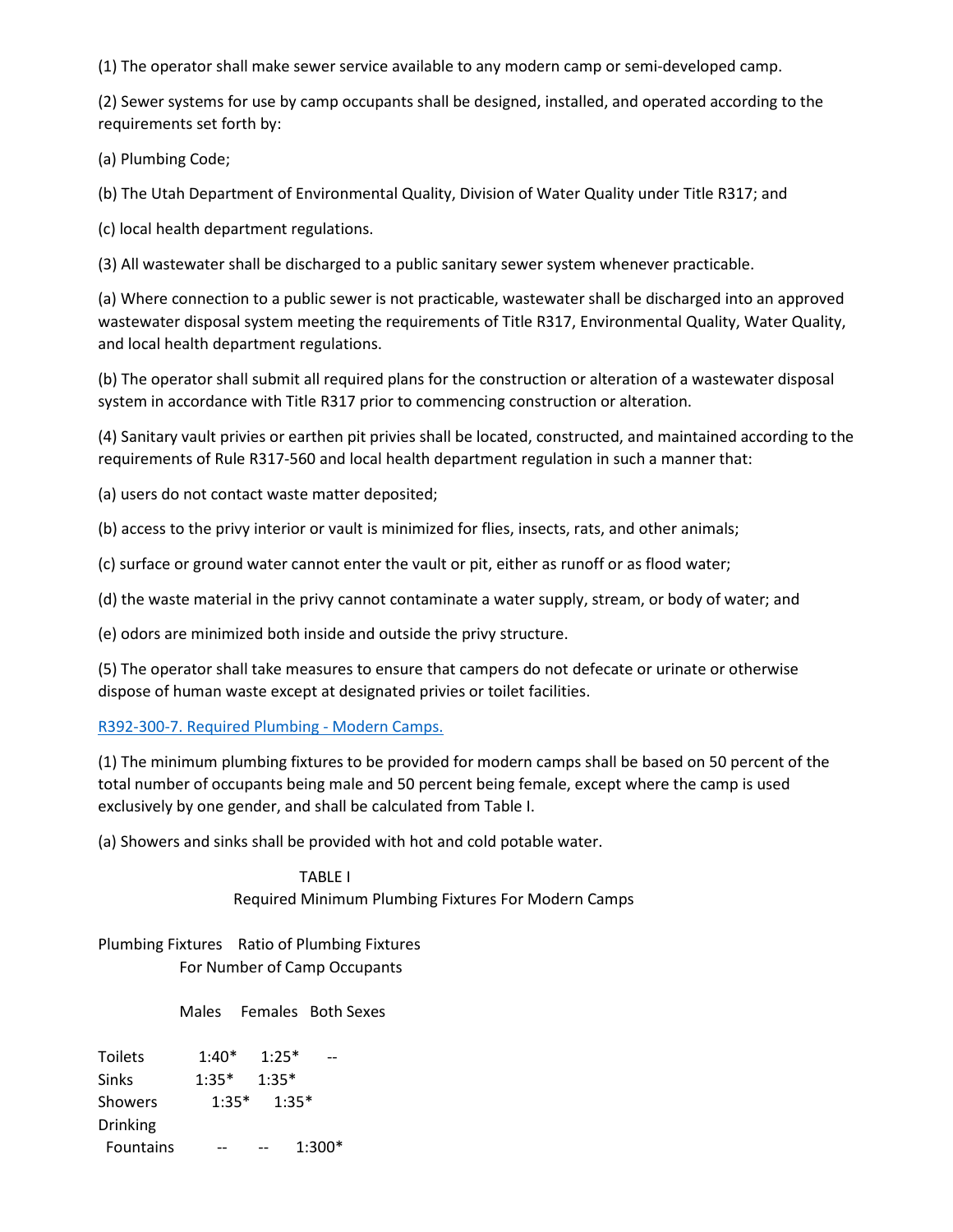(1) The operator shall make sewer service available to any modern camp or semi-developed camp.

(2) Sewer systems for use by camp occupants shall be designed, installed, and operated according to the requirements set forth by:

(a) Plumbing Code;

(b) The Utah Department of Environmental Quality, Division of Water Quality under Title R317; and

(c) local health department regulations.

(3) All wastewater shall be discharged to a public sanitary sewer system whenever practicable.

(a) Where connection to a public sewer is not practicable, wastewater shall be discharged into an approved wastewater disposal system meeting the requirements of Title R317, Environmental Quality, Water Quality, and local health department regulations.

(b) The operator shall submit all required plans for the construction or alteration of a wastewater disposal system in accordance with Title R317 prior to commencing construction or alteration.

(4) Sanitary vault privies or earthen pit privies shall be located, constructed, and maintained according to the requirements of Rule R317-560 and local health department regulation in such a manner that:

(a) users do not contact waste matter deposited;

(b) access to the privy interior or vault is minimized for flies, insects, rats, and other animals;

(c) surface or ground water cannot enter the vault or pit, either as runoff or as flood water;

(d) the waste material in the privy cannot contaminate a water supply, stream, or body of water; and

(e) odors are minimized both inside and outside the privy structure.

(5) The operator shall take measures to ensure that campers do not defecate or urinate or otherwise dispose of human waste except at designated privies or toilet facilities.

### [R392-300-7. Required Plumbing -](https://rules.utah.gov/publicat/code/r392/r392-300.htm#E7) Modern Camps.

(1) The minimum plumbing fixtures to be provided for modern camps shall be based on 50 percent of the total number of occupants being male and 50 percent being female, except where the camp is used exclusively by one gender, and shall be calculated from Table I.

(a) Showers and sinks shall be provided with hot and cold potable water.

 TABLE I Required Minimum Plumbing Fixtures For Modern Camps

Plumbing Fixtures Ratio of Plumbing Fixtures For Number of Camp Occupants

Males Females Both Sexes

Toilets 1:40\* 1:25\* -- Sinks 1:35\* 1:35\* Showers 1:35\* 1:35\* Drinking Fountains -- -- 1:300\*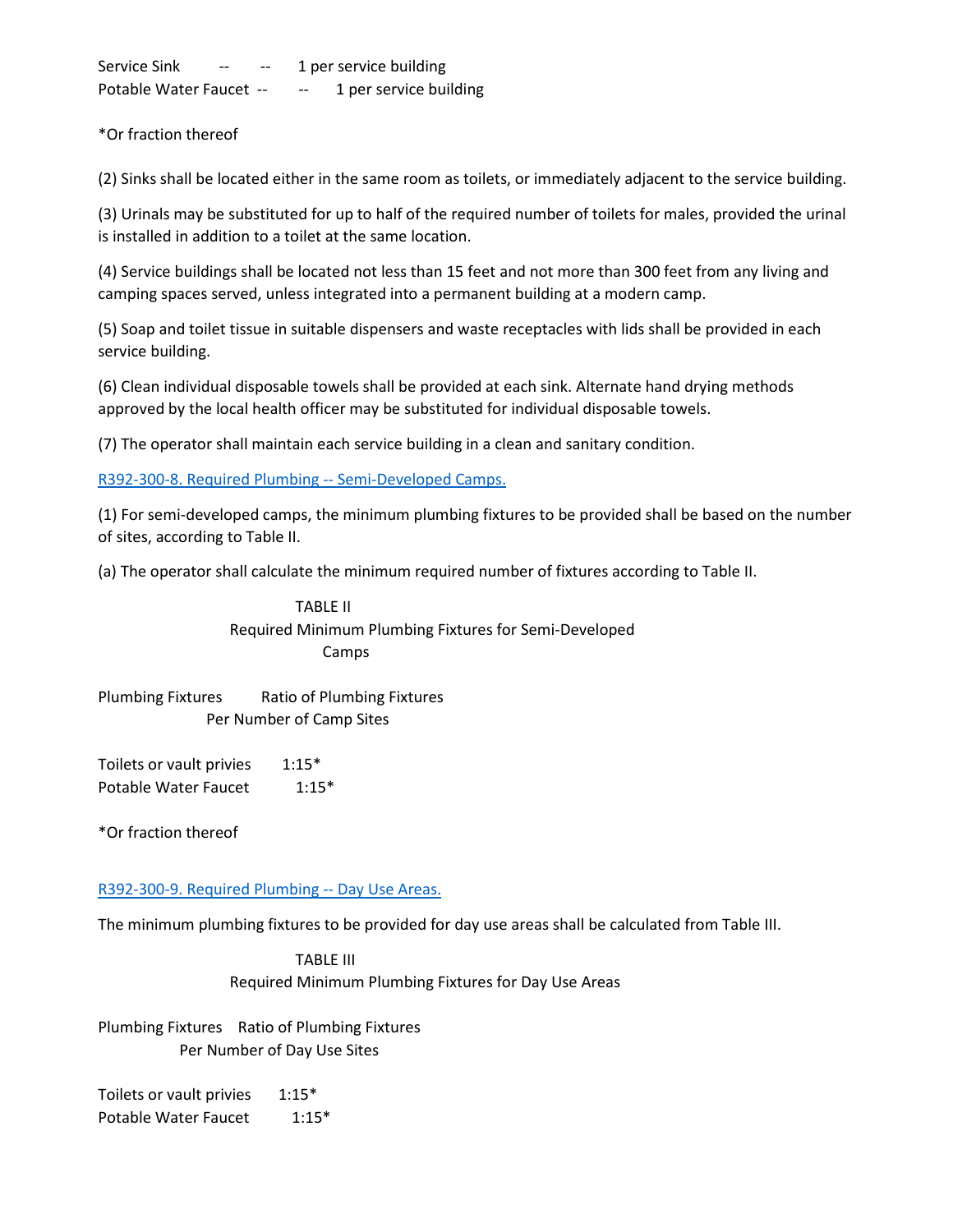Service Sink -- - - 1 per service building Potable Water Faucet -- - - 1 per service building

\*Or fraction thereof

(2) Sinks shall be located either in the same room as toilets, or immediately adjacent to the service building.

(3) Urinals may be substituted for up to half of the required number of toilets for males, provided the urinal is installed in addition to a toilet at the same location.

(4) Service buildings shall be located not less than 15 feet and not more than 300 feet from any living and camping spaces served, unless integrated into a permanent building at a modern camp.

(5) Soap and toilet tissue in suitable dispensers and waste receptacles with lids shall be provided in each service building.

(6) Clean individual disposable towels shall be provided at each sink. Alternate hand drying methods approved by the local health officer may be substituted for individual disposable towels.

(7) The operator shall maintain each service building in a clean and sanitary condition.

R392-300-8. Required Plumbing -- [Semi-Developed Camps.](https://rules.utah.gov/publicat/code/r392/r392-300.htm#E8)

(1) For semi-developed camps, the minimum plumbing fixtures to be provided shall be based on the number of sites, according to Table II.

(a) The operator shall calculate the minimum required number of fixtures according to Table II.

 TABLE II Required Minimum Plumbing Fixtures for Semi-Developed Camps

Plumbing Fixtures Ratio of Plumbing Fixtures Per Number of Camp Sites

Toilets or vault privies 1:15\* Potable Water Faucet 1:15\*

\*Or fraction thereof

[R392-300-9. Required Plumbing --](https://rules.utah.gov/publicat/code/r392/r392-300.htm#E9) Day Use Areas.

The minimum plumbing fixtures to be provided for day use areas shall be calculated from Table III.

 TABLE III Required Minimum Plumbing Fixtures for Day Use Areas

Plumbing Fixtures Ratio of Plumbing Fixtures Per Number of Day Use Sites

Toilets or vault privies 1:15\* Potable Water Faucet 1:15\*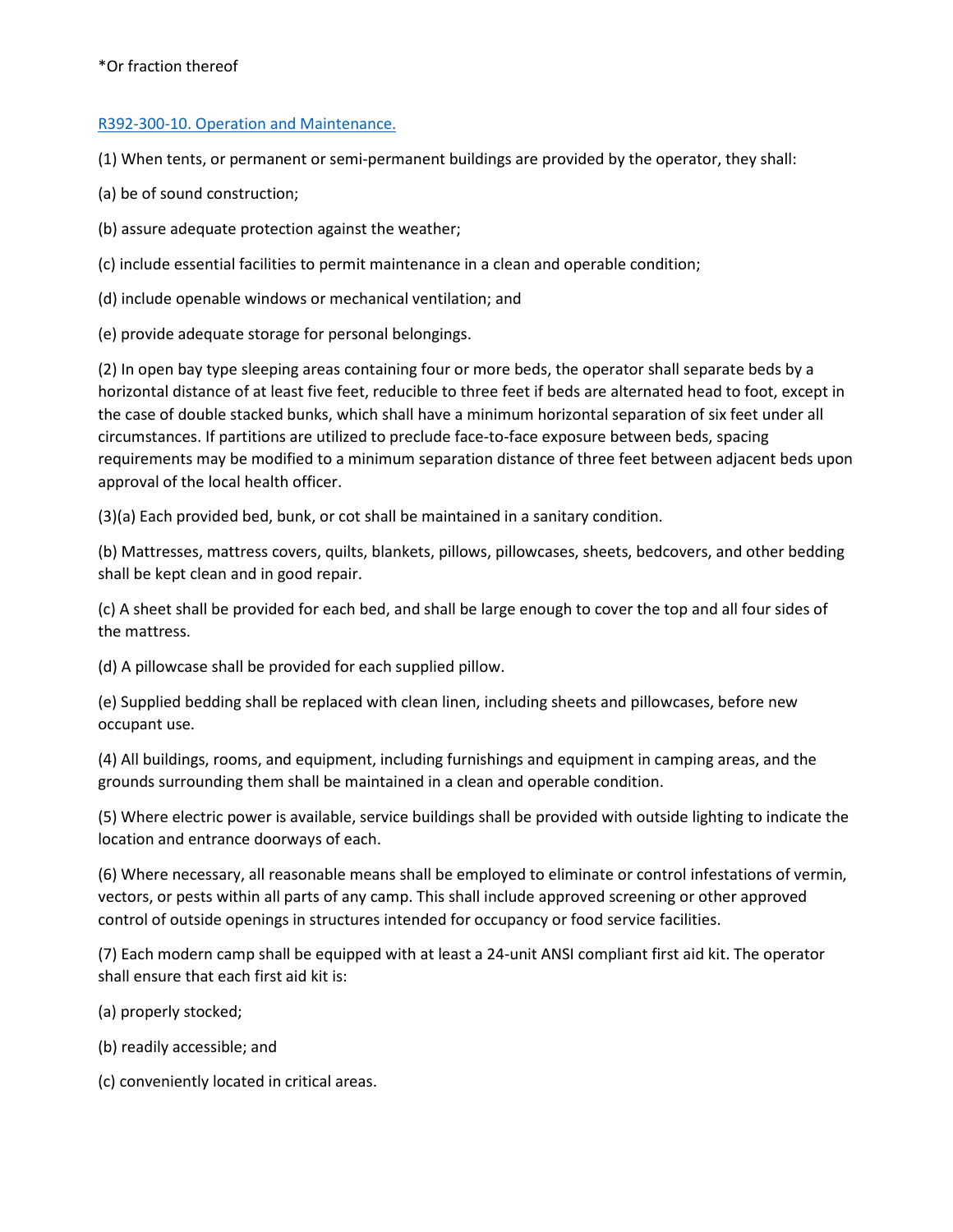### \*Or fraction thereof

### [R392-300-10. Operation and Maintenance.](https://rules.utah.gov/publicat/code/r392/r392-300.htm#E10)

(1) When tents, or permanent or semi-permanent buildings are provided by the operator, they shall:

(a) be of sound construction;

(b) assure adequate protection against the weather;

(c) include essential facilities to permit maintenance in a clean and operable condition;

(d) include openable windows or mechanical ventilation; and

(e) provide adequate storage for personal belongings.

(2) In open bay type sleeping areas containing four or more beds, the operator shall separate beds by a horizontal distance of at least five feet, reducible to three feet if beds are alternated head to foot, except in the case of double stacked bunks, which shall have a minimum horizontal separation of six feet under all circumstances. If partitions are utilized to preclude face-to-face exposure between beds, spacing requirements may be modified to a minimum separation distance of three feet between adjacent beds upon approval of the local health officer.

(3)(a) Each provided bed, bunk, or cot shall be maintained in a sanitary condition.

(b) Mattresses, mattress covers, quilts, blankets, pillows, pillowcases, sheets, bedcovers, and other bedding shall be kept clean and in good repair.

(c) A sheet shall be provided for each bed, and shall be large enough to cover the top and all four sides of the mattress.

(d) A pillowcase shall be provided for each supplied pillow.

(e) Supplied bedding shall be replaced with clean linen, including sheets and pillowcases, before new occupant use.

(4) All buildings, rooms, and equipment, including furnishings and equipment in camping areas, and the grounds surrounding them shall be maintained in a clean and operable condition.

(5) Where electric power is available, service buildings shall be provided with outside lighting to indicate the location and entrance doorways of each.

(6) Where necessary, all reasonable means shall be employed to eliminate or control infestations of vermin, vectors, or pests within all parts of any camp. This shall include approved screening or other approved control of outside openings in structures intended for occupancy or food service facilities.

(7) Each modern camp shall be equipped with at least a 24-unit ANSI compliant first aid kit. The operator shall ensure that each first aid kit is:

(a) properly stocked;

(b) readily accessible; and

(c) conveniently located in critical areas.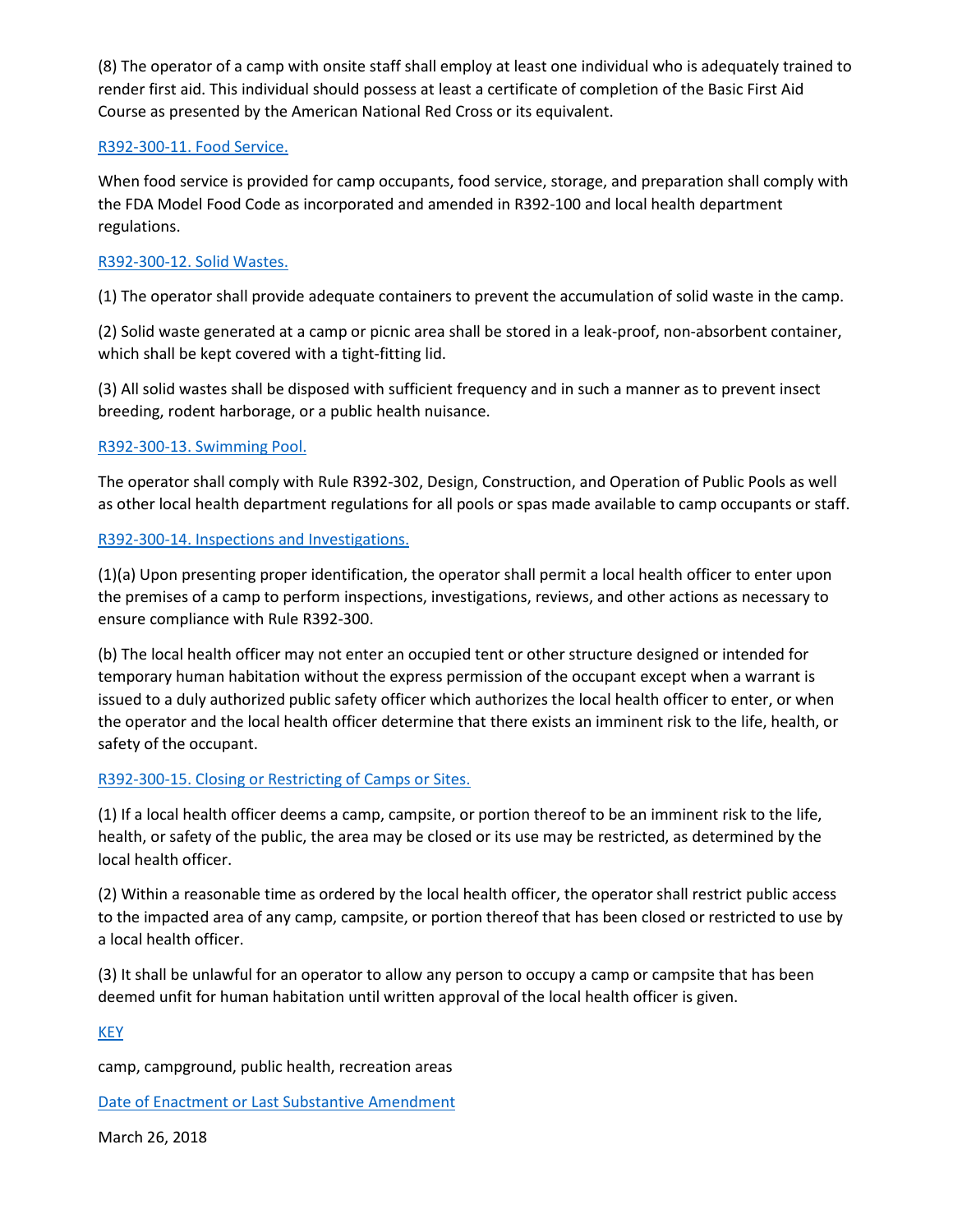(8) The operator of a camp with onsite staff shall employ at least one individual who is adequately trained to render first aid. This individual should possess at least a certificate of completion of the Basic First Aid Course as presented by the American National Red Cross or its equivalent.

### [R392-300-11. Food Service.](https://rules.utah.gov/publicat/code/r392/r392-300.htm#E11)

When food service is provided for camp occupants, food service, storage, and preparation shall comply with the FDA Model Food Code as incorporated and amended in R392-100 and local health department regulations.

### [R392-300-12. Solid Wastes.](https://rules.utah.gov/publicat/code/r392/r392-300.htm#E12)

(1) The operator shall provide adequate containers to prevent the accumulation of solid waste in the camp.

(2) Solid waste generated at a camp or picnic area shall be stored in a leak-proof, non-absorbent container, which shall be kept covered with a tight-fitting lid.

(3) All solid wastes shall be disposed with sufficient frequency and in such a manner as to prevent insect breeding, rodent harborage, or a public health nuisance.

### [R392-300-13. Swimming Pool.](https://rules.utah.gov/publicat/code/r392/r392-300.htm#E13)

The operator shall comply with Rule R392-302, Design, Construction, and Operation of Public Pools as well as other local health department regulations for all pools or spas made available to camp occupants or staff.

#### [R392-300-14. Inspections and Investigations.](https://rules.utah.gov/publicat/code/r392/r392-300.htm#E14)

(1)(a) Upon presenting proper identification, the operator shall permit a local health officer to enter upon the premises of a camp to perform inspections, investigations, reviews, and other actions as necessary to ensure compliance with Rule R392-300.

(b) The local health officer may not enter an occupied tent or other structure designed or intended for temporary human habitation without the express permission of the occupant except when a warrant is issued to a duly authorized public safety officer which authorizes the local health officer to enter, or when the operator and the local health officer determine that there exists an imminent risk to the life, health, or safety of the occupant.

#### [R392-300-15. Closing or Restricting of Camps or Sites.](https://rules.utah.gov/publicat/code/r392/r392-300.htm#E15)

(1) If a local health officer deems a camp, campsite, or portion thereof to be an imminent risk to the life, health, or safety of the public, the area may be closed or its use may be restricted, as determined by the local health officer.

(2) Within a reasonable time as ordered by the local health officer, the operator shall restrict public access to the impacted area of any camp, campsite, or portion thereof that has been closed or restricted to use by a local health officer.

(3) It shall be unlawful for an operator to allow any person to occupy a camp or campsite that has been deemed unfit for human habitation until written approval of the local health officer is given.

[KEY](https://rules.utah.gov/publicat/code/r392/r392-300.htm#E16)

camp, campground, public health, recreation areas

[Date of Enactment or Last Substantive Amendment](https://rules.utah.gov/publicat/code/r392/r392-300.htm#E17)

March 26, 2018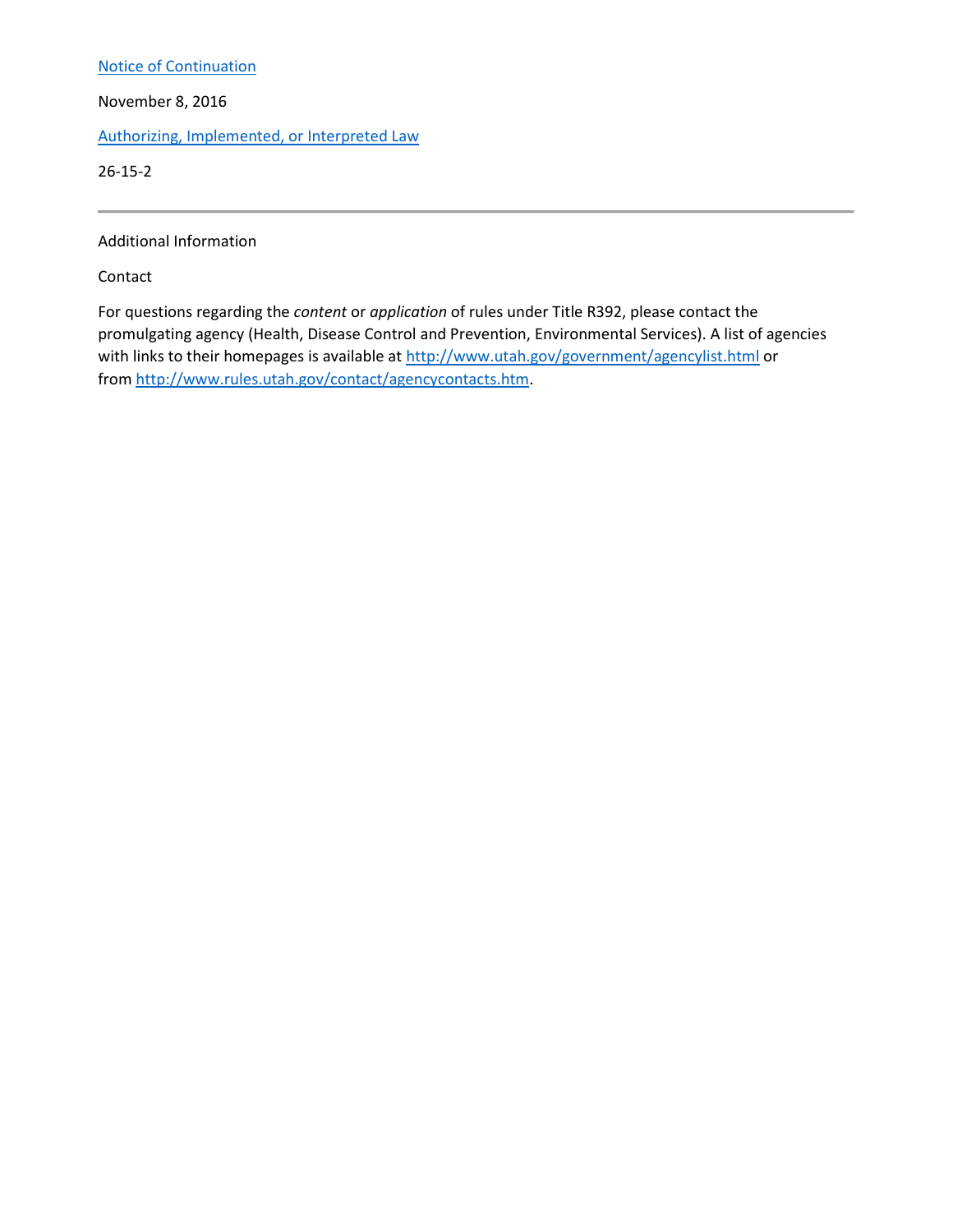#### [Notice of Continuation](https://rules.utah.gov/publicat/code/r392/r392-300.htm#E18)

November 8, 2016

[Authorizing, Implemented, or Interpreted Law](https://rules.utah.gov/publicat/code/r392/r392-300.htm#E19)

26-15-2

Additional Information

Contact

For questions regarding the *content* or *application* of rules under Title R392, please contact the promulgating agency (Health, Disease Control and Prevention, Environmental Services). A list of agencies with links to their homepages is available at <http://www.utah.gov/government/agencylist.html> or from [http://www.rules.utah.gov/contact/agencycontacts.htm.](https://rules.utah.gov/contact/agencycontacts.htm)